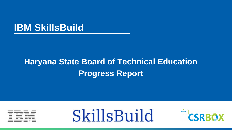### **IBM SkillsBuild**

# **Haryana State Board of Technical Education Progress Report**





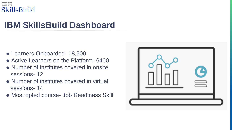

# **IBM SkillsBuild Dashboard**

- Learners Onboarded- 18,500
- Active Learners on the Platform- 6400
- Number of institutes covered in onsite sessions- 12
- Number of institutes covered in virtual sessions- 14
- Most opted course- Job Readiness Skill



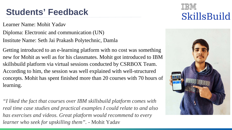Learner Name: Mohit Yadav

Diploma: Electronic and communication (UN) Institute Name: Seth Jai Prakash Polytechnic, Damla

Getting introduced to an e-learning platform with no cost was something new for Mohit as well as for his classmates. Mohit got introduced to IBM skillsbuild platform via virtual sessions conducted by CSRBOX Team. According to him, the session was well explained with well-structured concepts. Mohit has spent finished more than 20 courses with 70 hours of learning.

*"I liked the fact that courses over IBM skillsbuild platform comes with real time case studies and practical examples I could relate to and also has exercises and videos. Great platform would recommend to every learner who seek for upskilling them".* - Mohit Yadav



### SkillsBuild





### **Students' Feedback**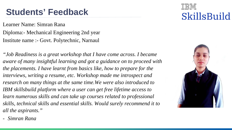Learner Name: Simran Rana Diploma:- Mechanical Engineering 2nd year Institute name :- Govt. Polytechnic, Narnaul

*"Job Readiness is a great workshop that I have come across. I became aware of many insightful learning and got a guidance on to proceed with the placements. I have learnt from basics like, how to prepare for the interviews, writing a resume, etc. Workshop made me introspect and*  research on many things at the same time. We were also introduced to *IBM skillsbuild platform where a user can get free lifetime access to*  learn numerous skills and can take up courses related to professional *skills, technical skills and essential skills. Would surely recommend it to all the aspirants."*

- *Simran Rana*



### SkillsBuild





### **Students' Feedback**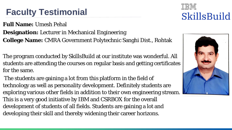### **Full Name:** Umesh Pehal **Designation:** Lecturer in Mechanical Engineering **College Name:** CMRA Government Polytechnic Sanghi Dist., Rohtak

The program conducted by SkillsBuild at our institute was wonderful. All students are attending the courses on regular basis and getting certificates for the same.

The students are gaining a lot from this platform in the field of technology as well as personality development. Definitely students are exploring various other fields in addition to their own engineering stream. This is a very good initiative by IBM and CSRBOX for the overall development of students of all fields. Students are gaining a lot and developing their skill and thereby widening their career horizons.



### SkillsBuild





# **Faculty Testimonial**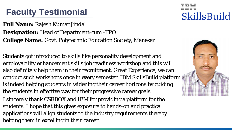**Full Name:** Rajesh Kumar Jindal **Designation:** Head of Department-cum -TPO **College Name:** Govt. Polytechnic Education Society, Manesar

Students got introduced to skills like personality development and employability enhancement skills job readiness workshop and this will also definitely help them in their recruitment. Great Experience, we can conduct such workshops once in every semester. IBM SkillsBuild platform is indeed helping students in widening their career horizons by guiding the students in effective way for their progressive career goals. I sincerely thank CSRBOX and IBM for providing a platform for the students. I hope that this gives exposure to hands-on and practical applications will align students to the industry requirements thereby helping them in excelling in their career.



### SkillsBuild





# **Faculty Testimonial**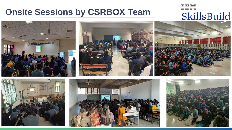## **Onsite Sessions by CSRBOX Team**











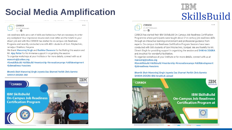# **Social Media Amplification**

 $0.0.0$ 

THE R. P. LEWIS CO., LANSING MICH.

**CSRBOX** 21.327 followers  $1w \cdot \mathbf{Q}$ 

Job readiness skills are a set of skills and behaviours that are necessary to enter any workplace! Your impressive resume and cover letter are the tickets to your dream job and with this CSRBOX has started its on-campus Job Readiness Programs and recently conducted one with 400+ students of Govt. Polytechnic, Jamalpur Shekhon, Haryana.

We thank Manoviraj Singh and Rashika Chaurasia for facilitating this session and Mr. Ajay Patter for his immense support in organizing the session.

To organise workshops at your institute or for more details, connect with us at manoviraj@csrbox.org

#ibmskillsbuild #skillsbuild #mentorship #innovationcamps #skilldevelopment #jobreadiness #sessions

Bhomik Shah Manoviraj Singh Joyeeta Das Sharvari Parikh Chris Barreto **SHIKHA DOGRA IBM** 







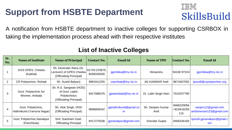# **Support from HSBTE Department**

| Sr.<br>No.     | <b>Name of Institute</b>                        | <b>Name of Principal</b>                                                            | <b>Contact No.</b>               | <b>Email Id</b>              | <b>Name of TPO</b>        | <b>Contact No.</b>              | <b>Email Id</b>                                 |
|----------------|-------------------------------------------------|-------------------------------------------------------------------------------------|----------------------------------|------------------------------|---------------------------|---------------------------------|-------------------------------------------------|
|                | GGS GPES, Cheeka<br>(Kaithal)                   | Sh. Devender Rana (Sr.<br>Lecturer) of GPES Cheeka<br>(Officiating Principal)       | $ 01743 - 223675 $<br>8295045000 | gpchikka@hry.nic.in          | Himanshu                  | 94160 97224                     | gpchikka@hry.nic.in                             |
| $\overline{2}$ | <b>CR Polytechnic, Rohtak</b>                   | Sh. Sushil Balyan)                                                                  | 9991912255                       | crprohtak@hry.nic.in         | <b>JAI KANWAR Antil</b>   | 9671667555                      | tpocell@crpolytechnic.org                       |
| 3              | Govt. Polytechnic for<br>Women, Ambala          | Sh. R.S. Sangwan (HOD)<br>of Govt. cadre<br>Polytechnics<br>(Officiating Principal) | 9417088376                       | gpwambala@hry.nic.in         | Dr. Labh Singh Nain       | 7015207790                      |                                                 |
|                | Govt. Polytechnic,<br>Hathnikund (Yamuna Nagar) | Sh. Alok Singh, HOD<br>(Officiating Principal)                                      | 9896809442                       | gphathnikund@gmail.co  <br>m | Sh. Sanjeev Kumar<br>Amit | 9466220094<br>+919416255<br>115 | sanjers12@gmail.com<br>amitsheoran123@gmail.com |
| 5              | Govt. Polytechnic, Nanakpur<br>(Panchkula)      | Smt. Suksham Goel,<br><b>Officiating Principal</b>                                  | 9417279198                       | gpnanakpur@gmail.com         | <b>Virender Gupta</b>     | 9466326193                      | tpocell.gpnanakpur@gmail.c<br><b>OM</b>         |



### SkillsBuild







### **List of Inactive Colleges**

A notification from HSBTE department to inactive colleges for supporting CSRBOX in taking the implementation process ahead with their respective institutes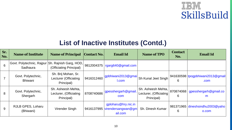### **List of Inactive Institutes (Contd.)**

| Sr.<br>No. | <b>Name of Institute</b>                                     | <b>Name of Principal</b>                                   | <b>Contact No.</b> | <b>Email Id</b>                                                 | <b>Name of TPO</b>                                         | <b>Contact</b><br>No. | <b>Email Id</b>                               |
|------------|--------------------------------------------------------------|------------------------------------------------------------|--------------------|-----------------------------------------------------------------|------------------------------------------------------------|-----------------------|-----------------------------------------------|
| 6          | Govt. Polytechnic, Rajpur Sh. Rajnish Garg, HOD,<br>Sadhaura | (Officiating Principal)                                    |                    | 9812004375   rgarg640@gmail.com                                 |                                                            |                       |                                               |
|            | Govt. Polytechnic,<br><b>Bhiwani</b>                         | Sh. Brij Mohan, Sr.<br>Lecturer (Officiating<br>Principal) | 9416312460         | gpbhiwani2013@gmai <br><b>I.com</b>                             | Sh Kunal Jeet Singh                                        | 6                     | 941630598 tpogpbhiwani2013@<br>.com           |
| 8          | Govt. Polytechnic,<br>Shergarh                               | Sh. Asheesh Mehta,<br>Lecturer, (Officiating<br>Principal) | 8708740686         | gpesshergarh@gmail.<br>com                                      | Sh. Asheesh Mehta,<br>Lecturer, (Officiating<br>Principal) | 870874068<br>6        | gpesshergarh@gma<br>m                         |
| 9          | <b>RJLB GPES, Loharu</b><br>(Bhiwani)                        | <b>Virender Singh</b>                                      |                    | gploharu@hry.nic.in<br>9416137995 virendersangwan@gm<br>ail.com | <b>Sh. Dinesh Kumar</b>                                    | 6                     | 981371965   dineshsindhu2003@<br><b>O.COM</b> |